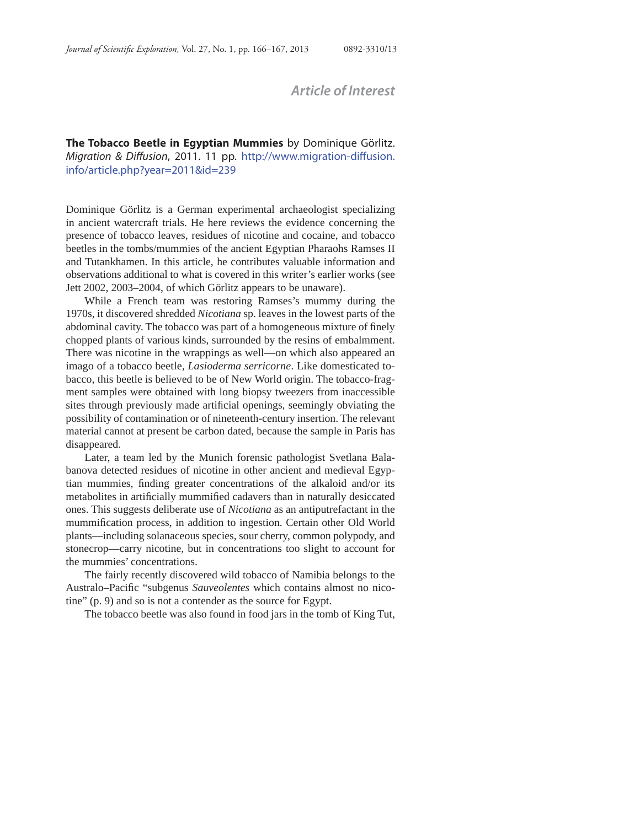## *Article of Interest*

**The Tobacco Beetle in Egyptian Mummies** by Dominique Görlitz. Migration & Diffusion, 2011. 11 pp. http://www.migration-diffusion. info/article.php?year=2011&id=239

Dominique Görlitz is a German experimental archaeologist specializing in ancient watercraft trials. He here reviews the evidence concerning the presence of tobacco leaves, residues of nicotine and cocaine, and tobacco beetles in the tombs/mummies of the ancient Egyptian Pharaohs Ramses II and Tutankhamen. In this article, he contributes valuable information and observations additional to what is covered in this writer's earlier works (see Jett 2002, 2003–2004, of which Görlitz appears to be unaware).

While a French team was restoring Ramses's mummy during the 1970s, it discovered shredded *Nicotiana* sp. leaves in the lowest parts of the abdominal cavity. The tobacco was part of a homogeneous mixture of finely chopped plants of various kinds, surrounded by the resins of embalmment. There was nicotine in the wrappings as well—on which also appeared an imago of a tobacco beetle, *Lasioderma serricorne*. Like domesticated tobacco, this beetle is believed to be of New World origin. The tobacco-fragment samples were obtained with long biopsy tweezers from inaccessible sites through previously made artificial openings, seemingly obviating the possibility of contamination or of nineteenth-century insertion. The relevant material cannot at present be carbon dated, because the sample in Paris has disappeared.

Later, a team led by the Munich forensic pathologist Svetlana Balabanova detected residues of nicotine in other ancient and medieval Egyptian mummies, finding greater concentrations of the alkaloid and/or its metabolites in artificially mummified cadavers than in naturally desiccated ones. This suggests deliberate use of *Nicotiana* as an antiputrefactant in the mummification process, in addition to ingestion. Certain other Old World plants—including solanaceous species, sour cherry, common polypody, and stonecrop—carry nicotine, but in concentrations too slight to account for the mummies' concentrations.

The fairly recently discovered wild tobacco of Namibia belongs to the Australo–Pacific "subgenus *Sauveolentes* which contains almost no nicotine" (p. 9) and so is not a contender as the source for Egypt.

The tobacco beetle was also found in food jars in the tomb of King Tut,